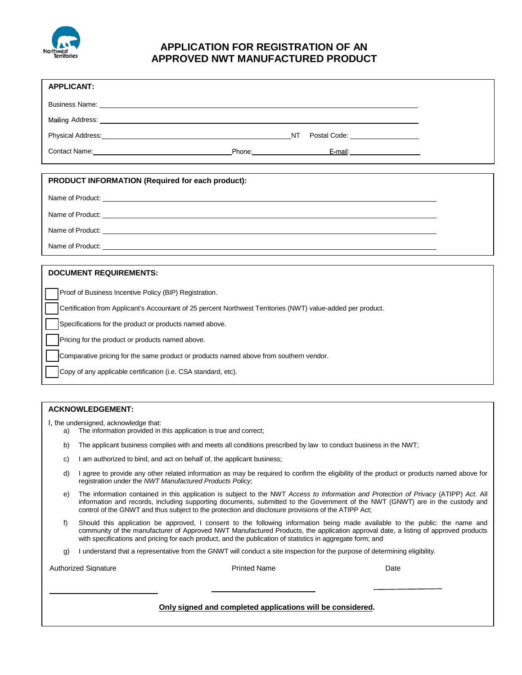

# **APPLICATION FOR REGISTRATION OF AN APPROVED NWT MANUFACTURED PRODUCT**

| <b>APPLICANT:</b>                                                                                                                                                                                                              |  |
|--------------------------------------------------------------------------------------------------------------------------------------------------------------------------------------------------------------------------------|--|
| Business Name: The contract of the contract of the contract of the contract of the contract of the contract of the contract of the contract of the contract of the contract of the contract of the contract of the contract of |  |
|                                                                                                                                                                                                                                |  |
| Physical Address: The Contract of the Contract of the Contract of the Contract of the Contract of the Contract of the Contract of the Contract of the Contract of the Contract of the Contract of the Contract of the Contract |  |
| Contact Name: <u>Canadian Contact Name</u> Phone: Contact Name 2014                                                                                                                                                            |  |
|                                                                                                                                                                                                                                |  |
| PRODUCT INFORMATION (Required for each product):                                                                                                                                                                               |  |
|                                                                                                                                                                                                                                |  |
| Name of Product: Name of Products and Allen and Allen and Allen and Allen and Allen and Allen and Allen and Allen and Allen and Allen and Allen and Allen and Allen and Allen and Allen and Allen and Allen and Allen and Alle |  |
| Name of Product: Name of Products and Allen and Allen and Allen and Allen and Allen and Allen and Allen and Allen and Allen and Allen and Allen and Allen and Allen and Allen and Allen and Allen and Allen and Allen and Alle |  |
|                                                                                                                                                                                                                                |  |
| <b>DOCUMENT REQUIREMENTS:</b>                                                                                                                                                                                                  |  |
|                                                                                                                                                                                                                                |  |
| Proof of Business Incentive Policy (BIP) Registration.                                                                                                                                                                         |  |
| Certification from Applicant's Accountant of 25 percent Northwest Territories (NWT) value-added per product.                                                                                                                   |  |
| Specifications for the product or products named above.                                                                                                                                                                        |  |
| Pricing for the product or products named above.                                                                                                                                                                               |  |
| Comparative pricing for the same product or products named above from southern vendor.                                                                                                                                         |  |
| Copy of any applicable certification (i.e. CSA standard, etc).                                                                                                                                                                 |  |
|                                                                                                                                                                                                                                |  |
| <b>ACKNOWLEDGEMENT:</b>                                                                                                                                                                                                        |  |

I, the undersigned, acknowledge that:

- a) The information provided in this application is true and correct;
- b) The applicant business complies with and meets all conditions prescribed by law to conduct business in the NWT;
- c) I am authorized to bind, and act on behalf of, the applicant business;
- d) I agree to provide any other related information as may be required to confirm the eligibility of the product or products named above for registration under the *NWT Manufactured Products Policy*;
- e) The information contained in this application is subject to the NWT *Access to Information and Protection of Privacy* (ATIPP) *Act*. All information and records, including supporting documents, submitted to the Government of the NWT (GNWT) are in the custody and control of the GNWT and thus subject to the protection and disclosure provisions of the ATIPP Act;
- f) Should this application be approved, I consent to the following information being made available to the public: the name and community of the manufacturer of Approved NWT Manufactured Products, the application approval date, a listing of approved products with specifications and pricing for each product, and the publication of statistics in aggregate form; and
- g) I understand that a representative from the GNWT will conduct a site inspection for the purpose of determining eligibility.

Authorized Signature **Date Printed Name Printed Name Date Date** 

### **Only signed and completed applications will be considered.**